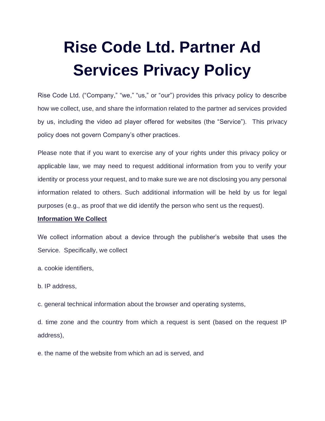# **Rise Code Ltd. Partner Ad Services Privacy Policy**

Rise Code Ltd. ("Company," "we," "us," or "our") provides this privacy policy to describe how we collect, use, and share the information related to the partner ad services provided by us, including the video ad player offered for websites (the "Service"). This privacy policy does not govern Company's other practices.

Please note that if you want to exercise any of your rights under this privacy policy or applicable law, we may need to request additional information from you to verify your identity or process your request, and to make sure we are not disclosing you any personal information related to others. Such additional information will be held by us for legal purposes (e.g., as proof that we did identify the person who sent us the request).

## **Information We Collect**

We collect information about a device through the publisher's website that uses the Service. Specifically, we collect

- a. cookie identifiers,
- b. IP address,

c. general technical information about the browser and operating systems,

d. time zone and the country from which a request is sent (based on the request IP address),

e. the name of the website from which an ad is served, and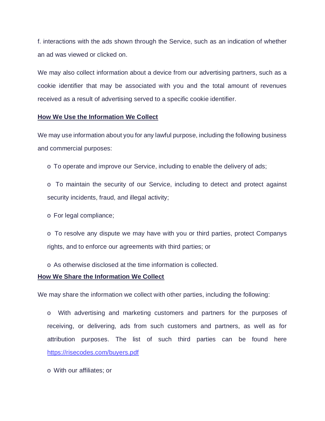f. interactions with the ads shown through the Service, such as an indication of whether an ad was viewed or clicked on.

We may also collect information about a device from our advertising partners, such as a cookie identifier that may be associated with you and the total amount of revenues received as a result of advertising served to a specific cookie identifier.

## **How We Use the Information We Collect**

We may use information about you for any lawful purpose, including the following business and commercial purposes:

o To operate and improve our Service, including to enable the delivery of ads;

o To maintain the security of our Service, including to detect and protect against security incidents, fraud, and illegal activity;

o For legal compliance;

o To resolve any dispute we may have with you or third parties, protect Companys rights, and to enforce our agreements with third parties; or

o As otherwise disclosed at the time information is collected.

## **How We Share the Information We Collect**

We may share the information we collect with other parties, including the following:

o With advertising and marketing customers and partners for the purposes of receiving, or delivering, ads from such customers and partners, as well as for attribution purposes. The list of such third parties can be found here <https://risecodes.com/buyers.pdf>

o With our affiliates; or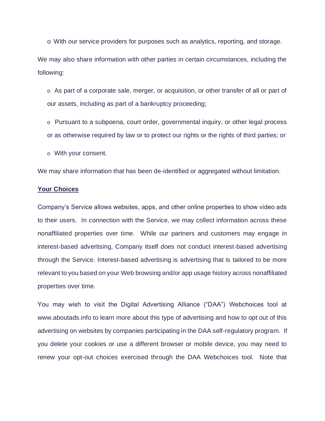o With our service providers for purposes such as analytics, reporting, and storage.

We may also share information with other parties in certain circumstances, including the following:

o As part of a corporate sale, merger, or acquisition, or other transfer of all or part of our assets, including as part of a bankruptcy proceeding;

o Pursuant to a subpoena, court order, governmental inquiry, or other legal process or as otherwise required by law or to protect our rights or the rights of third parties; or

o With your consent.

We may share information that has been de-identified or aggregated without limitation.

#### **Your Choices**

Company's Service allows websites, apps, and other online properties to show video ads to their users. In connection with the Service, we may collect information across these nonaffiliated properties over time. While our partners and customers may engage in interest-based advertising, Company itself does not conduct interest-based advertising through the Service. Interest-based advertising is advertising that is tailored to be more relevant to you based on your Web browsing and/or app usage history across nonaffiliated properties over time.

You may wish to visit the Digital Advertising Alliance ("DAA") Webchoices tool at www.aboutads.info to learn more about this type of advertising and how to opt out of this advertising on websites by companies participating in the DAA self-regulatory program. If you delete your cookies or use a different browser or mobile device, you may need to renew your opt-out choices exercised through the DAA Webchoices tool. Note that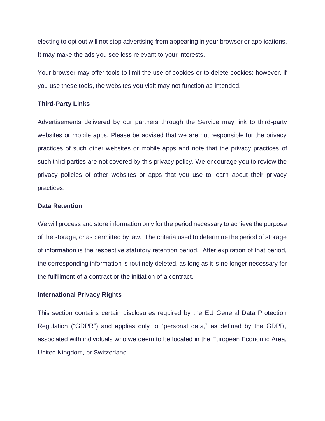electing to opt out will not stop advertising from appearing in your browser or applications. It may make the ads you see less relevant to your interests.

Your browser may offer tools to limit the use of cookies or to delete cookies; however, if you use these tools, the websites you visit may not function as intended.

#### **Third-Party Links**

Advertisements delivered by our partners through the Service may link to third-party websites or mobile apps. Please be advised that we are not responsible for the privacy practices of such other websites or mobile apps and note that the privacy practices of such third parties are not covered by this privacy policy. We encourage you to review the privacy policies of other websites or apps that you use to learn about their privacy practices.

### **Data Retention**

We will process and store information only for the period necessary to achieve the purpose of the storage, or as permitted by law. The criteria used to determine the period of storage of information is the respective statutory retention period. After expiration of that period, the corresponding information is routinely deleted, as long as it is no longer necessary for the fulfillment of a contract or the initiation of a contract.

#### **International Privacy Rights**

This section contains certain disclosures required by the EU General Data Protection Regulation ("GDPR") and applies only to "personal data," as defined by the GDPR, associated with individuals who we deem to be located in the European Economic Area, United Kingdom, or Switzerland.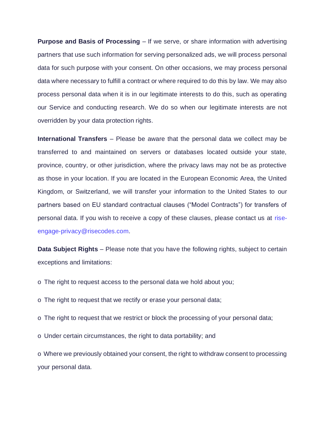**Purpose and Basis of Processing** – If we serve, or share information with advertising partners that use such information for serving personalized ads, we will process personal data for such purpose with your consent. On other occasions, we may process personal data where necessary to fulfill a contract or where required to do this by law. We may also process personal data when it is in our legitimate interests to do this, such as operating our Service and conducting research. We do so when our legitimate interests are not overridden by your data protection rights.

**International Transfers** – Please be aware that the personal data we collect may be transferred to and maintained on servers or databases located outside your state, province, country, or other jurisdiction, where the privacy laws may not be as protective as those in your location. If you are located in the European Economic Area, the United Kingdom, or Switzerland, we will transfer your information to the United States to our partners based on EU standard contractual clauses ("Model Contracts") for transfers of personal data. If you wish to receive a copy of these clauses, please contact us at riseengage-privacy@risecodes.com.

**Data Subject Rights** – Please note that you have the following rights, subject to certain exceptions and limitations:

o The right to request access to the personal data we hold about you;

o The right to request that we rectify or erase your personal data;

o The right to request that we restrict or block the processing of your personal data;

o Under certain circumstances, the right to data portability; and

o Where we previously obtained your consent, the right to withdraw consent to processing your personal data.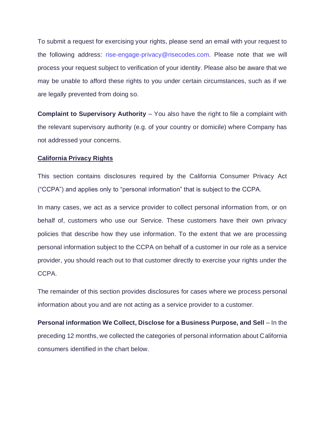To submit a request for exercising your rights, please send an email with your request to the following address: rise-engage-privacy@risecodes.com. Please note that we will process your request subject to verification of your identity. Please also be aware that we may be unable to afford these rights to you under certain circumstances, such as if we are legally prevented from doing so.

**Complaint to Supervisory Authority** – You also have the right to file a complaint with the relevant supervisory authority (e.g. of your country or domicile) where Company has not addressed your concerns.

### **California Privacy Rights**

This section contains disclosures required by the California Consumer Privacy Act ("CCPA") and applies only to "personal information" that is subject to the CCPA.

In many cases, we act as a service provider to collect personal information from, or on behalf of, customers who use our Service. These customers have their own privacy policies that describe how they use information. To the extent that we are processing personal information subject to the CCPA on behalf of a customer in our role as a service provider, you should reach out to that customer directly to exercise your rights under the CCPA.

The remainder of this section provides disclosures for cases where we process personal information about you and are not acting as a service provider to a customer.

**Personal information We Collect, Disclose for a Business Purpose, and Sell** – In the preceding 12 months, we collected the categories of personal information about California consumers identified in the chart below.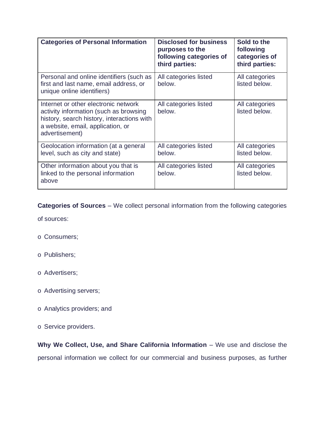| <b>Categories of Personal Information</b>                                                                                                                                           | <b>Disclosed for business</b><br>purposes to the<br>following categories of<br>third parties: | Sold to the<br>following<br>categories of<br>third parties: |
|-------------------------------------------------------------------------------------------------------------------------------------------------------------------------------------|-----------------------------------------------------------------------------------------------|-------------------------------------------------------------|
| Personal and online identifiers (such as<br>first and last name, email address, or<br>unique online identifiers)                                                                    | All categories listed<br>below.                                                               | All categories<br>listed below.                             |
| Internet or other electronic network<br>activity information (such as browsing<br>history, search history, interactions with<br>a website, email, application, or<br>advertisement) | All categories listed<br>below.                                                               | All categories<br>listed below.                             |
| Geolocation information (at a general<br>level, such as city and state)                                                                                                             | All categories listed<br>below.                                                               | All categories<br>listed below.                             |
| Other information about you that is<br>linked to the personal information<br>above                                                                                                  | All categories listed<br>below.                                                               | All categories<br>listed below.                             |

**Categories of Sources** – We collect personal information from the following categories

of sources:

- o Consumers;
- o Publishers;
- o Advertisers;
- o Advertising servers;
- o Analytics providers; and
- o Service providers.

**Why We Collect, Use, and Share California Information** – We use and disclose the personal information we collect for our commercial and business purposes, as further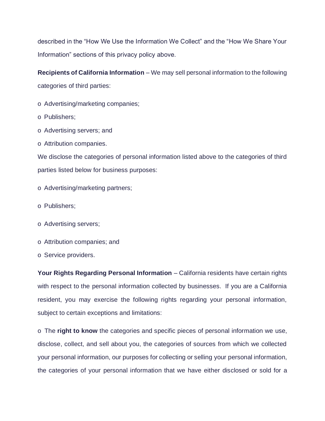described in the "How We Use the Information We Collect" and the "How We Share Your Information" sections of this privacy policy above.

**Recipients of California Information** – We may sell personal information to the following categories of third parties:

- o Advertising/marketing companies;
- o Publishers;
- o Advertising servers; and
- o Attribution companies.

We disclose the categories of personal information listed above to the categories of third parties listed below for business purposes:

- o Advertising/marketing partners;
- o Publishers;
- o Advertising servers;
- o Attribution companies; and
- o Service providers.

Your Rights Regarding Personal Information - California residents have certain rights with respect to the personal information collected by businesses. If you are a California resident, you may exercise the following rights regarding your personal information, subject to certain exceptions and limitations:

o The **right to know** the categories and specific pieces of personal information we use, disclose, collect, and sell about you, the categories of sources from which we collected your personal information, our purposes for collecting or selling your personal information, the categories of your personal information that we have either disclosed or sold for a